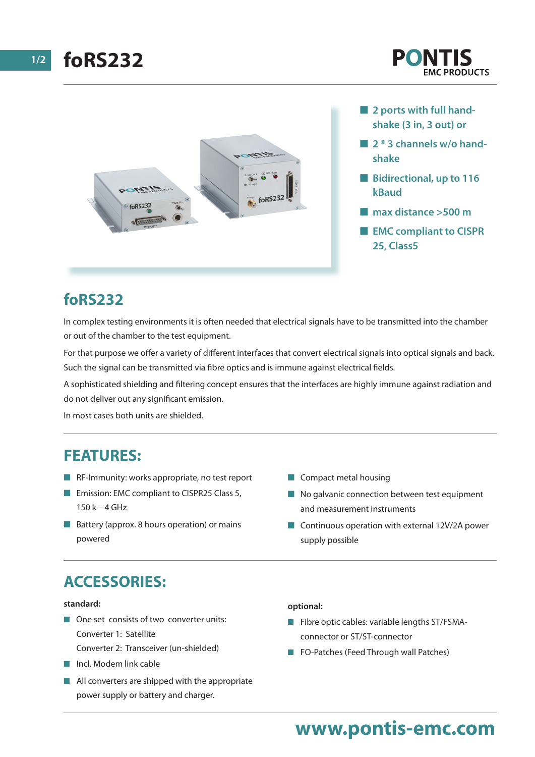

- **2 ports with full handshake (3 in, 3 out) or**
- **2 \* 3 channels w/o handshake**
- $\blacksquare$  **Bidirectional, up to 116 kBaud**
- n **max distance >500 m**
- **EMC compliant to CISPR 25, Class5**

# **foRS232**

In complex testing environments it is often needed that electrical signals have to be transmitted into the chamber or out of the chamber to the test equipment.

For that purpose we offer a variety of different interfaces that convert electrical signals into optical signals and back. Such the signal can be transmitted via fibre optics and is immune against electrical fields.

A sophisticated shielding and filtering concept ensures that the interfaces are highly immune against radiation and do not deliver out any significant emission.

In most cases both units are shielded.

### **FEATURES:**

- $\blacksquare$  RF-Immunity: works appropriate, no test report
- Emission: EMC compliant to CISPR25 Class 5, 150 k – 4 GHz
- $\blacksquare$  Battery (approx. 8 hours operation) or mains powered
- $\blacksquare$  Compact metal housing
- $\blacksquare$  No galvanic connection between test equipment and measurement instruments
- $\blacksquare$  Continuous operation with external 12V/2A power supply possible

# **ACCESSORIES:**

#### **standard:**

- $\blacksquare$  One set consists of two converter units: Converter 1: Satellite
	- Converter 2: Transceiver (un-shielded)
- $\blacksquare$  Incl. Modem link cable
- $\blacksquare$  All converters are shipped with the appropriate power supply or battery and charger.

**optional:**

- $\blacksquare$  Fibre optic cables: variable lengths ST/FSMAconnector or ST/ST-connector
- FO-Patches (Feed Through wall Patches)

# **www.pontis-emc.com**